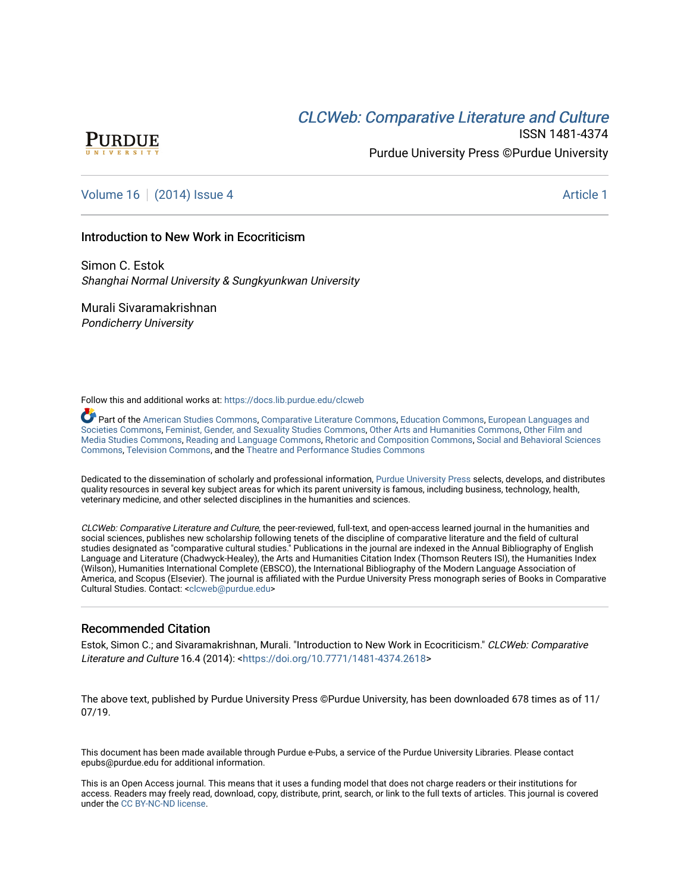# CLCW[eb: Comparative Liter](https://docs.lib.purdue.edu/clcweb)ature and Culture



ISSN 1481-4374 Purdue University Press ©Purdue University

## [Volume 16](https://docs.lib.purdue.edu/clcweb/vol16) | [\(2014\) Issue 4](https://docs.lib.purdue.edu/clcweb/vol16/iss4) Article 1

#### Introduction to New Work in Ecocriticism

Simon C. Estok Shanghai Normal University & Sungkyunkwan University

Murali Sivaramakrishnan Pondicherry University

Follow this and additional works at: [https://docs.lib.purdue.edu/clcweb](https://docs.lib.purdue.edu/clcweb?utm_source=docs.lib.purdue.edu%2Fclcweb%2Fvol16%2Fiss4%2F1&utm_medium=PDF&utm_campaign=PDFCoverPages)

Part of the [American Studies Commons](http://network.bepress.com/hgg/discipline/439?utm_source=docs.lib.purdue.edu%2Fclcweb%2Fvol16%2Fiss4%2F1&utm_medium=PDF&utm_campaign=PDFCoverPages), [Comparative Literature Commons,](http://network.bepress.com/hgg/discipline/454?utm_source=docs.lib.purdue.edu%2Fclcweb%2Fvol16%2Fiss4%2F1&utm_medium=PDF&utm_campaign=PDFCoverPages) [Education Commons,](http://network.bepress.com/hgg/discipline/784?utm_source=docs.lib.purdue.edu%2Fclcweb%2Fvol16%2Fiss4%2F1&utm_medium=PDF&utm_campaign=PDFCoverPages) [European Languages and](http://network.bepress.com/hgg/discipline/482?utm_source=docs.lib.purdue.edu%2Fclcweb%2Fvol16%2Fiss4%2F1&utm_medium=PDF&utm_campaign=PDFCoverPages) [Societies Commons](http://network.bepress.com/hgg/discipline/482?utm_source=docs.lib.purdue.edu%2Fclcweb%2Fvol16%2Fiss4%2F1&utm_medium=PDF&utm_campaign=PDFCoverPages), [Feminist, Gender, and Sexuality Studies Commons,](http://network.bepress.com/hgg/discipline/559?utm_source=docs.lib.purdue.edu%2Fclcweb%2Fvol16%2Fiss4%2F1&utm_medium=PDF&utm_campaign=PDFCoverPages) [Other Arts and Humanities Commons](http://network.bepress.com/hgg/discipline/577?utm_source=docs.lib.purdue.edu%2Fclcweb%2Fvol16%2Fiss4%2F1&utm_medium=PDF&utm_campaign=PDFCoverPages), [Other Film and](http://network.bepress.com/hgg/discipline/565?utm_source=docs.lib.purdue.edu%2Fclcweb%2Fvol16%2Fiss4%2F1&utm_medium=PDF&utm_campaign=PDFCoverPages)  [Media Studies Commons](http://network.bepress.com/hgg/discipline/565?utm_source=docs.lib.purdue.edu%2Fclcweb%2Fvol16%2Fiss4%2F1&utm_medium=PDF&utm_campaign=PDFCoverPages), [Reading and Language Commons](http://network.bepress.com/hgg/discipline/1037?utm_source=docs.lib.purdue.edu%2Fclcweb%2Fvol16%2Fiss4%2F1&utm_medium=PDF&utm_campaign=PDFCoverPages), [Rhetoric and Composition Commons,](http://network.bepress.com/hgg/discipline/573?utm_source=docs.lib.purdue.edu%2Fclcweb%2Fvol16%2Fiss4%2F1&utm_medium=PDF&utm_campaign=PDFCoverPages) [Social and Behavioral Sciences](http://network.bepress.com/hgg/discipline/316?utm_source=docs.lib.purdue.edu%2Fclcweb%2Fvol16%2Fiss4%2F1&utm_medium=PDF&utm_campaign=PDFCoverPages) [Commons,](http://network.bepress.com/hgg/discipline/316?utm_source=docs.lib.purdue.edu%2Fclcweb%2Fvol16%2Fiss4%2F1&utm_medium=PDF&utm_campaign=PDFCoverPages) [Television Commons,](http://network.bepress.com/hgg/discipline/1143?utm_source=docs.lib.purdue.edu%2Fclcweb%2Fvol16%2Fiss4%2F1&utm_medium=PDF&utm_campaign=PDFCoverPages) and the [Theatre and Performance Studies Commons](http://network.bepress.com/hgg/discipline/552?utm_source=docs.lib.purdue.edu%2Fclcweb%2Fvol16%2Fiss4%2F1&utm_medium=PDF&utm_campaign=PDFCoverPages)

Dedicated to the dissemination of scholarly and professional information, [Purdue University Press](http://www.thepress.purdue.edu/) selects, develops, and distributes quality resources in several key subject areas for which its parent university is famous, including business, technology, health, veterinary medicine, and other selected disciplines in the humanities and sciences.

CLCWeb: Comparative Literature and Culture, the peer-reviewed, full-text, and open-access learned journal in the humanities and social sciences, publishes new scholarship following tenets of the discipline of comparative literature and the field of cultural studies designated as "comparative cultural studies." Publications in the journal are indexed in the Annual Bibliography of English Language and Literature (Chadwyck-Healey), the Arts and Humanities Citation Index (Thomson Reuters ISI), the Humanities Index (Wilson), Humanities International Complete (EBSCO), the International Bibliography of the Modern Language Association of America, and Scopus (Elsevier). The journal is affiliated with the Purdue University Press monograph series of Books in Comparative Cultural Studies. Contact: [<clcweb@purdue.edu](mailto:clcweb@purdue.edu)>

### Recommended Citation

Estok, Simon C.; and Sivaramakrishnan, Murali. "Introduction to New Work in Ecocriticism." CLCWeb: Comparative Literature and Culture 16.4 (2014): <<https://doi.org/10.7771/1481-4374.2618>>

The above text, published by Purdue University Press ©Purdue University, has been downloaded 678 times as of 11/ 07/19.

This document has been made available through Purdue e-Pubs, a service of the Purdue University Libraries. Please contact epubs@purdue.edu for additional information.

This is an Open Access journal. This means that it uses a funding model that does not charge readers or their institutions for access. Readers may freely read, download, copy, distribute, print, search, or link to the full texts of articles. This journal is covered under the [CC BY-NC-ND license.](https://creativecommons.org/licenses/by-nc-nd/4.0/)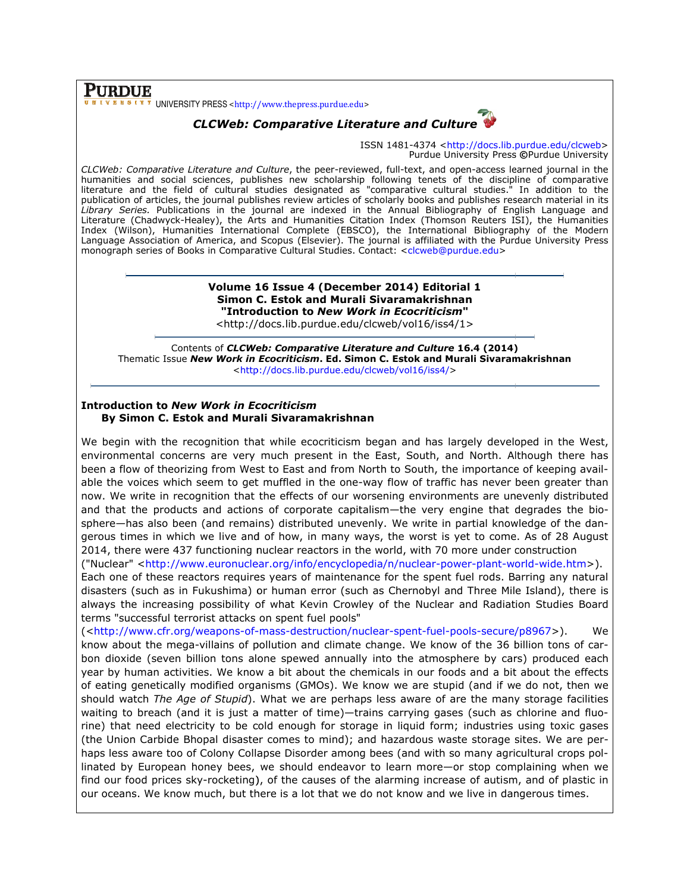Purdue UNIVERSITY PRESS <http://www.thepress.purdue.edu>



ISSN 1481-4374 <http://docs.lib.purdue.edu/clcweb> Purdue University Press ©Purdue University

CLCWeb: Comparative Literature and Culture, the peer-reviewed, full-text, and open-access learned journal in the humanities and social sciences, publishes new scholarship following tenets of the discipline of comparative *CLCWeb: Comparative Literature and Culture*, the peer-reviewed, full-text, and open-access learned journal in the<br>humanities and social sciences, publishes new scholarship following tenets of the discipline of comparative publication of articles, the journal publishes review articles of scholarly books and publishes research material in its publication of articles, the journal publishes review articles of scholarly books and publishes research material in its<br>*Library Series. P*ublications in the journal are indexed in the Annual Bibliography of English Langu Literature (Chadwyck-Healey), the Arts and Humanities Citation Index (Thomson Reuters ISI), the Humanities Literature (Chadwyck-Healey), the Arts and Humanities Citation Index (Thomson Reuters ISI), the Humanities<br>Index (Wilson), Humanities International Complete (EBSCO), the International Bibliography of the Modern Index (Wilson), Humanities International Complete (EBSCO), the International Bibliography of the Modern<br>Language Association of America, and Scopus (Elsevier). The journal is affiliated with the Purdue University Press monograph series of Books in Comparative Cultural Studies. Contact: <clcweb@purdue.edu>

> Volume 16 I Issue 4 (December 2014) Editorial 1 Simon C. Estok and Murali Sivaramakrishnan C. Sivaramakrishnan "Introduction to Introduction to New Work in Ecocriticism"

<http://docs.li <http://docs.lib.purdue.edu/clcweb/vol16/iss4/1>

Contents of *CLCWeb: Comparative Literature and Culture* 16.4 (2014) Thematic Issue New Work in Ecocriticism. Ed. Simon C. Estok and Murali Sivaramakrishnan <http://docs.lib.purdue.edu/clcweb/vol16/iss4/ http://docs.lib.purdue.edu/clcweb/vol16/iss4/>

#### Introduction to New Work in Ecocriticism By Simon C. Estok and Murali Sivaramakrishnan

We begin with the recognition that while ecocriticism began and has largely developed in the West, environmental concerns are very much present in the East, South, and North. Although there has environmental concerns are very much present in the East, South, and North. Although there has<br>been a flow of theorizing from West to East and from North to South, the importance of keeping available the voices which seem to get muffled in the one-way flow of traffic has never been greater than now. We write in recognition that the effects of our worsening environments are unevenly distributed now. We write in recognition that the effects of our worsening environments are unevenly distributed<br>and that the products and actions of corporate capitalism—the very engine that degrades the biosphere—has also been (and remains) distributed unevenly. We write in partial knowledge of the dangerous times in which we live and of how, in many ways, the worst is yet to come. As of 28 August 2014, there were 437 functioning nuclear reactors in the world, with 70 more under construction gerous times in which we live and of how, in many ways, the worst is yet to come. As of 28 August<br>2014, there were 437 functioning nuclear reactors in the world, with 70 more under construction<br>("Nuclear" <http://www.euron

Each one of these reactors requires years of maintenance for the spent fuel rods. Barring any natural disasters (such as in Fukushima) or human error (such as Chernobyl and Three Mile Island), there is always the increasing possibility of what Kevin Crowley of the Nuclear and Radiation Studies Board terms "successful terrorist attacks on spent fuel pools" always the increasing possibility of what Kevin Crowley of the Nuclear and Radiation Studies Board<br>terms "successful terrorist attacks on spent fuel pools"<br>(<http://www.cfr.org/weapons-of-mass-destruction/nuclear-spent-fue

know about the mega-villains of pollution and climate change. We know of the 36 billion tons of carbon dioxide (seven billion tons alone spewed annually into the atmosphere by cars) produced each year by human activities. We know a bit about the chemicals in our foods and a bit about the effects bon dioxide (seven billion tons alone spewed annually into the atmosphere by cars) produced each<br>year by human activities. We know a bit about the chemicals in our foods and a bit about the effects<br>of eating genetically mo should watch The Age of Stupid). What we are perhaps less aware of are the many storage facilities should watch *The Age of Stupid*). What we are perhaps less aware of are the many storage facilities<br>waiting to breach (and it is just a matter of time)—trains carrying gases (such as chlorine and fluorine) that need electricity to be cold enough for storage in liquid form; industries using toxic gases rine) that need electricity to be cold enough for storage in liquid form; industries using toxic gases<br>(the Union Carbide Bhopal disaster comes to mind); and hazardous waste storage sites. We are perhaps less aware too of Colony Collapse Disorder among bees (and with so many agricultural crops po polhaps less aware too of Colony Collapse Disorder among bees (and with so many agricultural crops pol-<br>linated by European honey bees, we should endeavor to learn more—or stop complaining when we linated by European honey bees, we should endeavor to learn more—or stop complaining when we<br>find our food prices sky-rocketing), of the causes of the alarming increase of autism, and of plastic in our oceans. We know much, but there is a lot that we do not know and we live in dangerous times.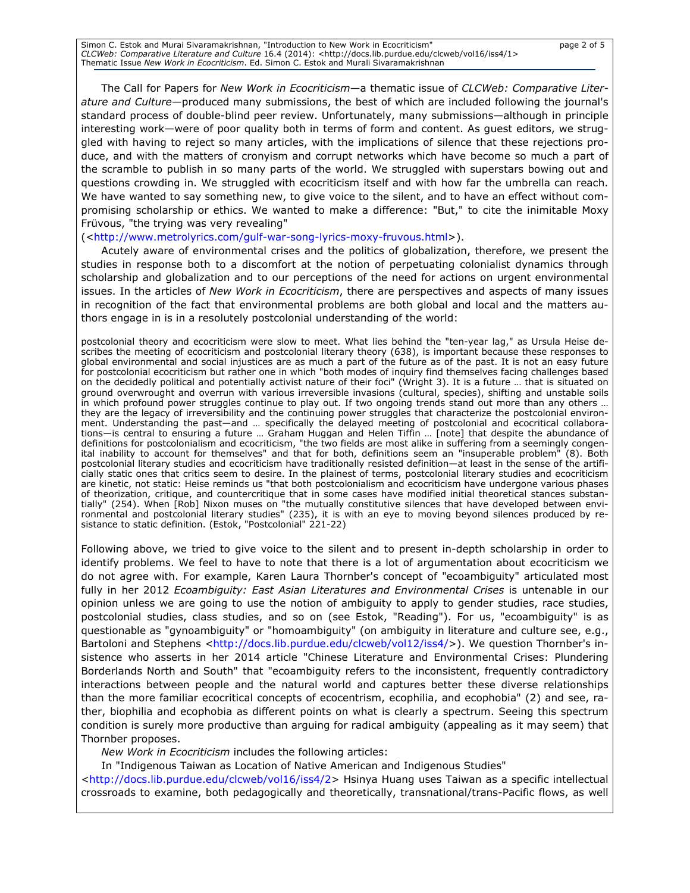Simon C. Estok and Murai Sivaramakrishnan, "Introduction to New Work in Ecocriticism" page 2 of 5 CLCWeb: Comparative Literature and Culture 16.4 (2014): <http://docs.lib.purdue.edu/clcweb/vol16/iss4/1> Thematic Issue New Work in Ecocriticism. Ed. Simon C. Estok and Murali Sivaramakrishnan

The Call for Papers for New Work in Ecocriticism—a thematic issue of CLCWeb: Comparative Literature and Culture—produced many submissions, the best of which are included following the journal's standard process of double-blind peer review. Unfortunately, many submissions—although in principle interesting work—were of poor quality both in terms of form and content. As guest editors, we struggled with having to reject so many articles, with the implications of silence that these rejections produce, and with the matters of cronyism and corrupt networks which have become so much a part of the scramble to publish in so many parts of the world. We struggled with superstars bowing out and questions crowding in. We struggled with ecocriticism itself and with how far the umbrella can reach. We have wanted to say something new, to give voice to the silent, and to have an effect without compromising scholarship or ethics. We wanted to make a difference: "But," to cite the inimitable Moxy Früvous, "the trying was very revealing"

(<http://www.metrolyrics.com/gulf-war-song-lyrics-moxy-fruvous.html>).

Acutely aware of environmental crises and the politics of globalization, therefore, we present the studies in response both to a discomfort at the notion of perpetuating colonialist dynamics through scholarship and globalization and to our perceptions of the need for actions on urgent environmental issues. In the articles of New Work in Ecocriticism, there are perspectives and aspects of many issues in recognition of the fact that environmental problems are both global and local and the matters authors engage in is in a resolutely postcolonial understanding of the world:

postcolonial theory and ecocriticism were slow to meet. What lies behind the "ten-year lag," as Ursula Heise describes the meeting of ecocriticism and postcolonial literary theory (638), is important because these responses to global environmental and social injustices are as much a part of the future as of the past. It is not an easy future for postcolonial ecocriticism but rather one in which "both modes of inquiry find themselves facing challenges based on the decidedly political and potentially activist nature of their foci" (Wright 3). It is a future … that is situated on ground overwrought and overrun with various irreversible invasions (cultural, species), shifting and unstable soils in which profound power struggles continue to play out. If two ongoing trends stand out more than any others … they are the legacy of irreversibility and the continuing power struggles that characterize the postcolonial environment. Understanding the past—and … specifically the delayed meeting of postcolonial and ecocritical collaborations—is central to ensuring a future … Graham Huggan and Helen Tiffin … [note] that despite the abundance of definitions for postcolonialism and ecocriticism, "the two fields are most alike in suffering from a seemingly congenital inability to account for themselves" and that for both, definitions seem an "insuperable problem" (8). Both postcolonial literary studies and ecocriticism have traditionally resisted definition—at least in the sense of the artificially static ones that critics seem to desire. In the plainest of terms, postcolonial literary studies and ecocriticism are kinetic, not static: Heise reminds us "that both postcolonialism and ecocriticism have undergone various phases of theorization, critique, and countercritique that in some cases have modified initial theoretical stances substantially" (254). When [Rob] Nixon muses on "the mutually constitutive silences that have developed between environmental and postcolonial literary studies" (235), it is with an eye to moving beyond silences produced by resistance to static definition. (Estok, "Postcolonial" 221-22)

Following above, we tried to give voice to the silent and to present in-depth scholarship in order to identify problems. We feel to have to note that there is a lot of argumentation about ecocriticism we do not agree with. For example, Karen Laura Thornber's concept of "ecoambiguity" articulated most fully in her 2012 Ecoambiguity: East Asian Literatures and Environmental Crises is untenable in our opinion unless we are going to use the notion of ambiguity to apply to gender studies, race studies, postcolonial studies, class studies, and so on (see Estok, "Reading"). For us, "ecoambiguity" is as questionable as "gynoambiguity" or "homoambiguity" (on ambiguity in literature and culture see, e.g., Bartoloni and Stephens <http://docs.lib.purdue.edu/clcweb/vol12/iss4/>). We question Thornber's insistence who asserts in her 2014 article "Chinese Literature and Environmental Crises: Plundering Borderlands North and South" that "ecoambiguity refers to the inconsistent, frequently contradictory interactions between people and the natural world and captures better these diverse relationships than the more familiar ecocritical concepts of ecocentrism, ecophilia, and ecophobia" (2) and see, rather, biophilia and ecophobia as different points on what is clearly a spectrum. Seeing this spectrum condition is surely more productive than arguing for radical ambiguity (appealing as it may seem) that Thornber proposes.

New Work in Ecocriticism includes the following articles:

In "Indigenous Taiwan as Location of Native American and Indigenous Studies"

<http://docs.lib.purdue.edu/clcweb/vol16/iss4/2> Hsinya Huang uses Taiwan as a specific intellectual crossroads to examine, both pedagogically and theoretically, transnational/trans-Pacific flows, as well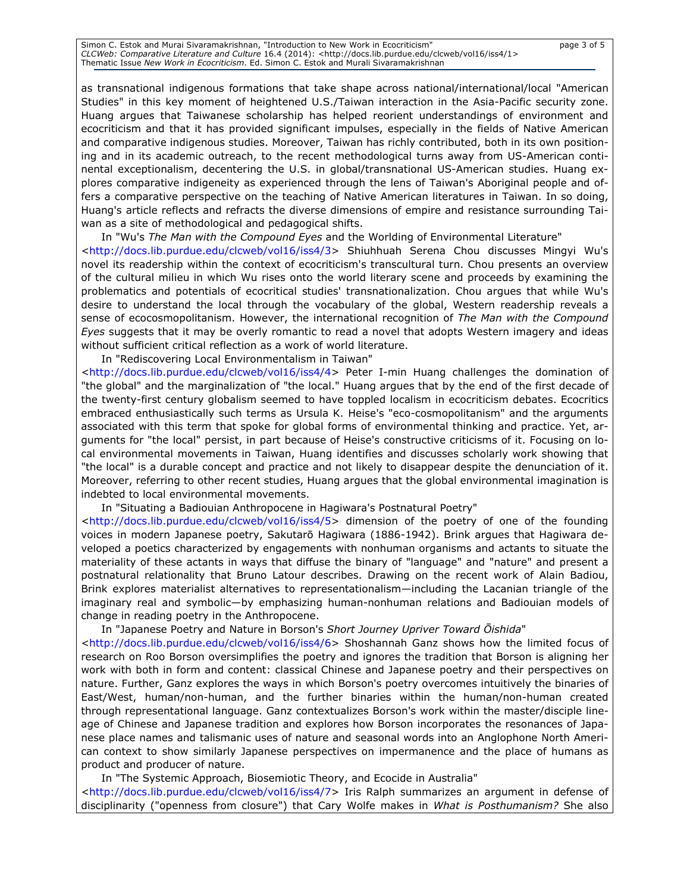Simon C. Estok and Murai Sivaramakrishnan, "Introduction to New Work in Ecocriticism" page 3 of 5 CLCWeb: Comparative Literature and Culture 16.4 (2014): <http://docs.lib.purdue.edu/clcweb/vol16/iss4/1> Thematic Issue New Work in Ecocriticism. Ed. Simon C. Estok and Murali Sivaramakrishnan

as transnational indigenous formations that take shape across national/international/local "American Studies" in this key moment of heightened U.S./Taiwan interaction in the Asia-Pacific security zone. Huang argues that Taiwanese scholarship has helped reorient understandings of environment and ecocriticism and that it has provided significant impulses, especially in the fields of Native American and comparative indigenous studies. Moreover, Taiwan has richly contributed, both in its own positioning and in its academic outreach, to the recent methodological turns away from US-American continental exceptionalism, decentering the U.S. in global/transnational US-American studies. Huang explores comparative indigeneity as experienced through the lens of Taiwan's Aboriginal people and offers a comparative perspective on the teaching of Native American literatures in Taiwan. In so doing, Huang's article reflects and refracts the diverse dimensions of empire and resistance surrounding Taiwan as a site of methodological and pedagogical shifts.

In "Wu's The Man with the Compound Eyes and the Worlding of Environmental Literature" <http://docs.lib.purdue.edu/clcweb/vol16/iss4/3> Shiuhhuah Serena Chou discusses Mingyi Wu's novel its readership within the context of ecocriticism's transcultural turn. Chou presents an overview of the cultural milieu in which Wu rises onto the world literary scene and proceeds by examining the problematics and potentials of ecocritical studies' transnationalization. Chou argues that while Wu's desire to understand the local through the vocabulary of the global, Western readership reveals a sense of ecocosmopolitanism. However, the international recognition of The Man with the Compound Eyes suggests that it may be overly romantic to read a novel that adopts Western imagery and ideas without sufficient critical reflection as a work of world literature.

In "Rediscovering Local Environmentalism in Taiwan"

<http://docs.lib.purdue.edu/clcweb/vol16/iss4/4> Peter I-min Huang challenges the domination of "the global" and the marginalization of "the local." Huang argues that by the end of the first decade of the twenty-first century globalism seemed to have toppled localism in ecocriticism debates. Ecocritics embraced enthusiastically such terms as Ursula K. Heise's "eco-cosmopolitanism" and the arguments associated with this term that spoke for global forms of environmental thinking and practice. Yet, arguments for "the local" persist, in part because of Heise's constructive criticisms of it. Focusing on local environmental movements in Taiwan, Huang identifies and discusses scholarly work showing that "the local" is a durable concept and practice and not likely to disappear despite the denunciation of it. Moreover, referring to other recent studies, Huang argues that the global environmental imagination is indebted to local environmental movements.

In "Situating a Badiouian Anthropocene in Hagiwara's Postnatural Poetry"

<http://docs.lib.purdue.edu/clcweb/vol16/iss4/5> dimension of the poetry of one of the founding voices in modern Japanese poetry, Sakutarō Hagiwara (1886-1942). Brink argues that Hagiwara developed a poetics characterized by engagements with nonhuman organisms and actants to situate the materiality of these actants in ways that diffuse the binary of "language" and "nature" and present a postnatural relationality that Bruno Latour describes. Drawing on the recent work of Alain Badiou, Brink explores materialist alternatives to representationalism—including the Lacanian triangle of the imaginary real and symbolic—by emphasizing human-nonhuman relations and Badiouian models of change in reading poetry in the Anthropocene.

In "Japanese Poetry and Nature in Borson's Short Journey Upriver Toward Oishida"

<http://docs.lib.purdue.edu/clcweb/vol16/iss4/6> Shoshannah Ganz shows how the limited focus of research on Roo Borson oversimplifies the poetry and ignores the tradition that Borson is aligning her work with both in form and content: classical Chinese and Japanese poetry and their perspectives on nature. Further, Ganz explores the ways in which Borson's poetry overcomes intuitively the binaries of East/West, human/non-human, and the further binaries within the human/non-human created through representational language. Ganz contextualizes Borson's work within the master/disciple lineage of Chinese and Japanese tradition and explores how Borson incorporates the resonances of Japanese place names and talismanic uses of nature and seasonal words into an Anglophone North American context to show similarly Japanese perspectives on impermanence and the place of humans as product and producer of nature.

In "The Systemic Approach, Biosemiotic Theory, and Ecocide in Australia"

<http://docs.lib.purdue.edu/clcweb/vol16/iss4/7> Iris Ralph summarizes an argument in defense of disciplinarity ("openness from closure") that Cary Wolfe makes in What is Posthumanism? She also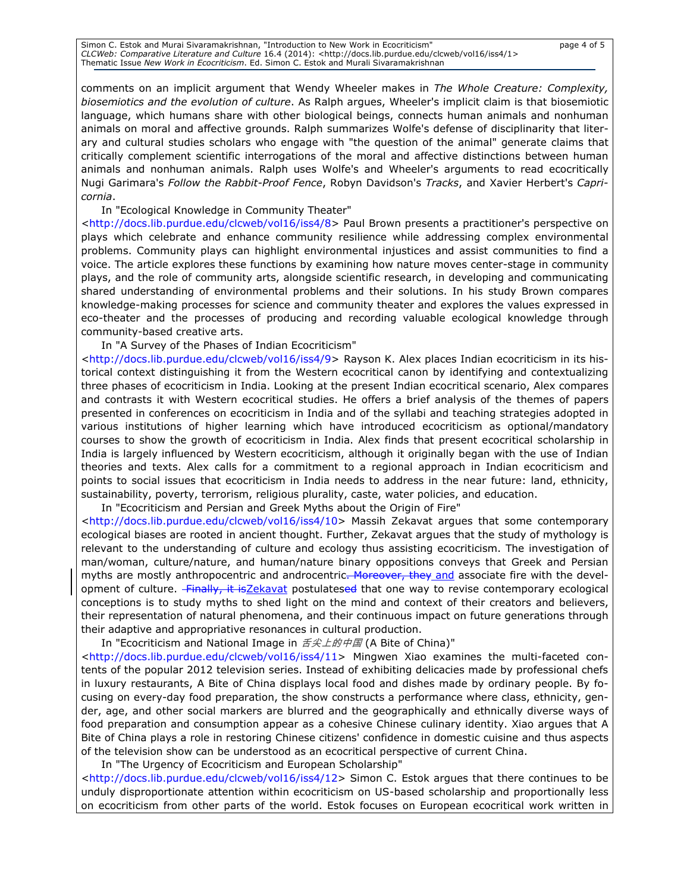Simon C. Estok and Murai Sivaramakrishnan, "Introduction to New Work in Ecocriticism" page 4 of 5 CLCWeb: Comparative Literature and Culture 16.4 (2014): <http://docs.lib.purdue.edu/clcweb/vol16/iss4/1> Thematic Issue New Work in Ecocriticism. Ed. Simon C. Estok and Murali Sivaramakrishnan

comments on an implicit argument that Wendy Wheeler makes in The Whole Creature: Complexity, biosemiotics and the evolution of culture. As Ralph argues, Wheeler's implicit claim is that biosemiotic language, which humans share with other biological beings, connects human animals and nonhuman animals on moral and affective grounds. Ralph summarizes Wolfe's defense of disciplinarity that literary and cultural studies scholars who engage with "the question of the animal" generate claims that critically complement scientific interrogations of the moral and affective distinctions between human animals and nonhuman animals. Ralph uses Wolfe's and Wheeler's arguments to read ecocritically Nugi Garimara's Follow the Rabbit-Proof Fence, Robyn Davidson's Tracks, and Xavier Herbert's Capricornia.

In "Ecological Knowledge in Community Theater"

<http://docs.lib.purdue.edu/clcweb/vol16/iss4/8> Paul Brown presents a practitioner's perspective on plays which celebrate and enhance community resilience while addressing complex environmental problems. Community plays can highlight environmental injustices and assist communities to find a voice. The article explores these functions by examining how nature moves center-stage in community plays, and the role of community arts, alongside scientific research, in developing and communicating shared understanding of environmental problems and their solutions. In his study Brown compares knowledge-making processes for science and community theater and explores the values expressed in eco-theater and the processes of producing and recording valuable ecological knowledge through community-based creative arts.

In "A Survey of the Phases of Indian Ecocriticism"

<http://docs.lib.purdue.edu/clcweb/vol16/iss4/9> Rayson K. Alex places Indian ecocriticism in its historical context distinguishing it from the Western ecocritical canon by identifying and contextualizing three phases of ecocriticism in India. Looking at the present Indian ecocritical scenario, Alex compares and contrasts it with Western ecocritical studies. He offers a brief analysis of the themes of papers presented in conferences on ecocriticism in India and of the syllabi and teaching strategies adopted in various institutions of higher learning which have introduced ecocriticism as optional/mandatory courses to show the growth of ecocriticism in India. Alex finds that present ecocritical scholarship in India is largely influenced by Western ecocriticism, although it originally began with the use of Indian theories and texts. Alex calls for a commitment to a regional approach in Indian ecocriticism and points to social issues that ecocriticism in India needs to address in the near future: land, ethnicity, sustainability, poverty, terrorism, religious plurality, caste, water policies, and education.

In "Ecocriticism and Persian and Greek Myths about the Origin of Fire"

<http://docs.lib.purdue.edu/clcweb/vol16/iss4/10> Massih Zekavat argues that some contemporary ecological biases are rooted in ancient thought. Further, Zekavat argues that the study of mythology is relevant to the understanding of culture and ecology thus assisting ecocriticism. The investigation of man/woman, culture/nature, and human/nature binary oppositions conveys that Greek and Persian myths are mostly anthropocentric and androcentric. Moreover, they and associate fire with the development of culture. Finally, it isZekavat postulatesed that one way to revise contemporary ecological conceptions is to study myths to shed light on the mind and context of their creators and believers, their representation of natural phenomena, and their continuous impact on future generations through their adaptive and appropriative resonances in cultural production.

In "Ecocriticism and National Image in  $\vec{A} \times \vec{B}$   $\vec{B}$  (A Bite of China)"

<http://docs.lib.purdue.edu/clcweb/vol16/iss4/11> Mingwen Xiao examines the multi-faceted contents of the popular 2012 television series. Instead of exhibiting delicacies made by professional chefs in luxury restaurants, A Bite of China displays local food and dishes made by ordinary people. By focusing on every-day food preparation, the show constructs a performance where class, ethnicity, gender, age, and other social markers are blurred and the geographically and ethnically diverse ways of food preparation and consumption appear as a cohesive Chinese culinary identity. Xiao argues that A Bite of China plays a role in restoring Chinese citizens' confidence in domestic cuisine and thus aspects of the television show can be understood as an ecocritical perspective of current China.

In "The Urgency of Ecocriticism and European Scholarship"

<http://docs.lib.purdue.edu/clcweb/vol16/iss4/12> Simon C. Estok argues that there continues to be unduly disproportionate attention within ecocriticism on US-based scholarship and proportionally less on ecocriticism from other parts of the world. Estok focuses on European ecocritical work written in